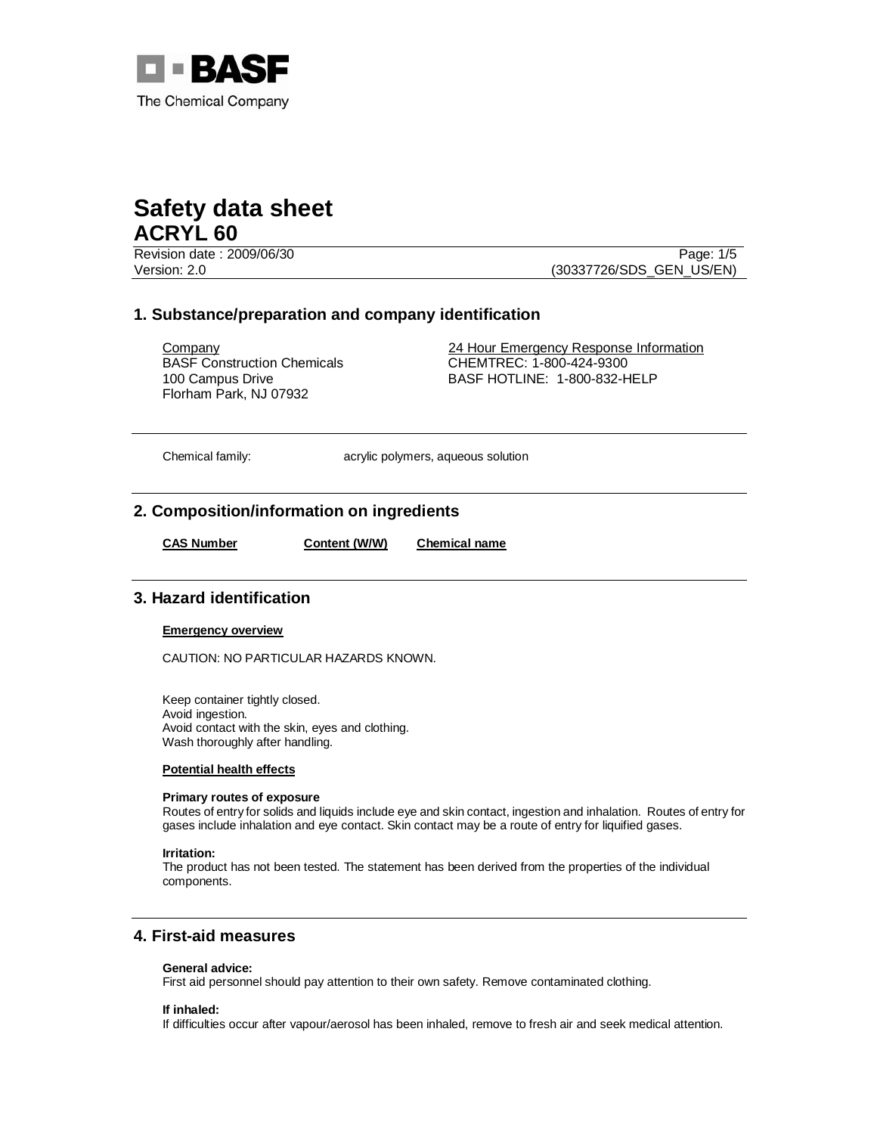

Revision date : 2009/06/30 Page: 1/5 Version: 2.0 (30337726/SDS\_GEN\_US/EN)

# **1. Substance/preparation and company identification**

BASF Construction Chemicals 100 Campus Drive Florham Park, NJ 07932

Company 24 Hour Emergency Response Information CHEMTREC: 1-800-424-9300 BASF HOTLINE: 1-800-832-HELP

Chemical family: acrylic polymers, aqueous solution

# **2. Composition/information on ingredients**

**CAS Number Content (W/W) Chemical name**

# **3. Hazard identification**

## **Emergency overview**

CAUTION: NO PARTICULAR HAZARDS KNOWN.

Keep container tightly closed. Avoid ingestion. Avoid contact with the skin, eyes and clothing. Wash thoroughly after handling.

## **Potential health effects**

## **Primary routes of exposure**

Routes of entry for solids and liquids include eye and skin contact, ingestion and inhalation. Routes of entry for gases include inhalation and eye contact. Skin contact may be a route of entry for liquified gases.

#### **Irritation:**

The product has not been tested. The statement has been derived from the properties of the individual components.

# **4. First-aid measures**

## **General advice:**

First aid personnel should pay attention to their own safety. Remove contaminated clothing.

## **If inhaled:**

If difficulties occur after vapour/aerosol has been inhaled, remove to fresh air and seek medical attention.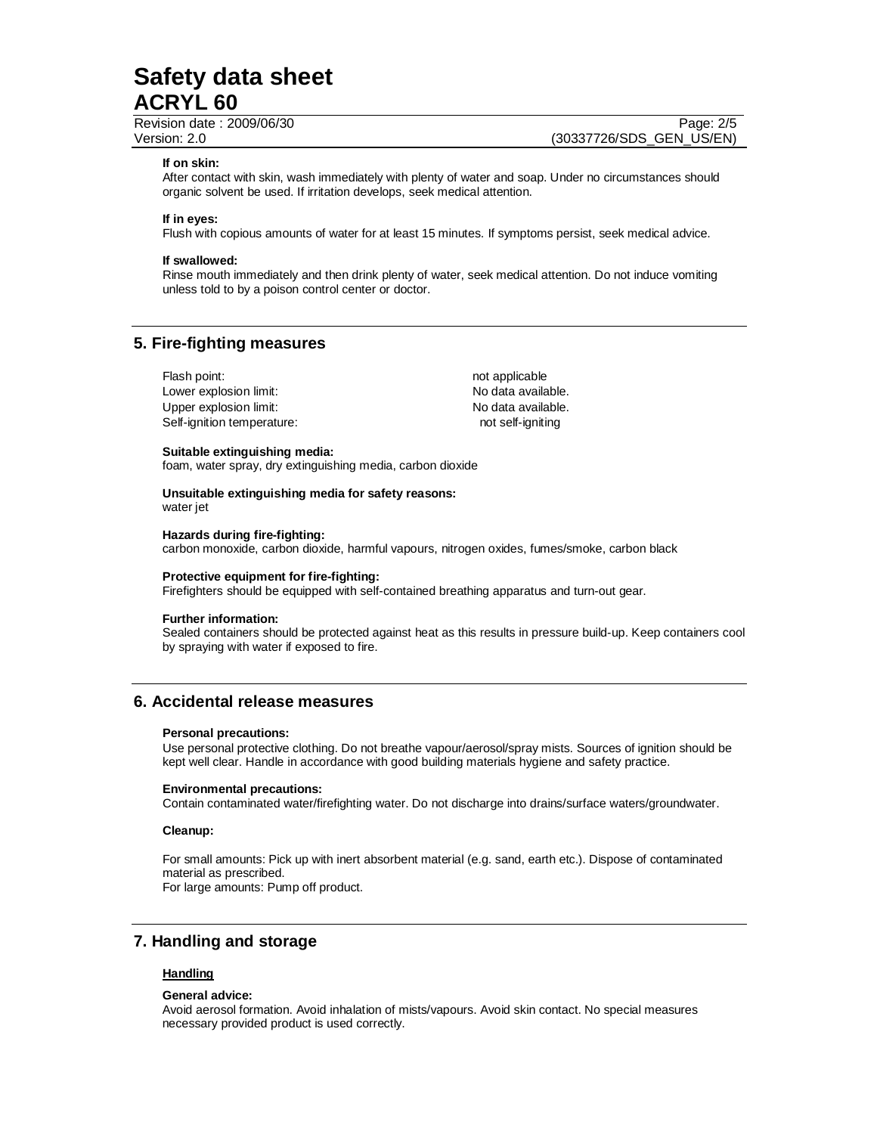Revision date : 2009/06/30 Page: 2/5

Version: 2.0 (30337726/SDS\_GEN\_US/EN)

#### **If on skin:**

After contact with skin, wash immediately with plenty of water and soap. Under no circumstances should organic solvent be used. If irritation develops, seek medical attention.

## **If in eyes:**

Flush with copious amounts of water for at least 15 minutes. If symptoms persist, seek medical advice.

#### **If swallowed:**

Rinse mouth immediately and then drink plenty of water, seek medical attention. Do not induce vomiting unless told to by a poison control center or doctor.

# **5. Fire-fighting measures**

| Flash point:               | not applicable     |
|----------------------------|--------------------|
| Lower explosion limit:     | No data available. |
| Upper explosion limit:     | No data available. |
| Self-ignition temperature: | not self-ianitina  |

#### **Suitable extinguishing media:**

foam, water spray, dry extinguishing media, carbon dioxide

**Unsuitable extinguishing media for safety reasons:**  water jet

#### **Hazards during fire-fighting:**

carbon monoxide, carbon dioxide, harmful vapours, nitrogen oxides, fumes/smoke, carbon black

#### **Protective equipment for fire-fighting:**

Firefighters should be equipped with self-contained breathing apparatus and turn-out gear.

#### **Further information:**

Sealed containers should be protected against heat as this results in pressure build-up. Keep containers cool by spraying with water if exposed to fire.

# **6. Accidental release measures**

## **Personal precautions:**

Use personal protective clothing. Do not breathe vapour/aerosol/spray mists. Sources of ignition should be kept well clear. Handle in accordance with good building materials hygiene and safety practice.

## **Environmental precautions:**

Contain contaminated water/firefighting water. Do not discharge into drains/surface waters/groundwater.

#### **Cleanup:**

For small amounts: Pick up with inert absorbent material (e.g. sand, earth etc.). Dispose of contaminated material as prescribed. For large amounts: Pump off product.

# **7. Handling and storage**

## **Handling**

#### **General advice:**

Avoid aerosol formation. Avoid inhalation of mists/vapours. Avoid skin contact. No special measures necessary provided product is used correctly.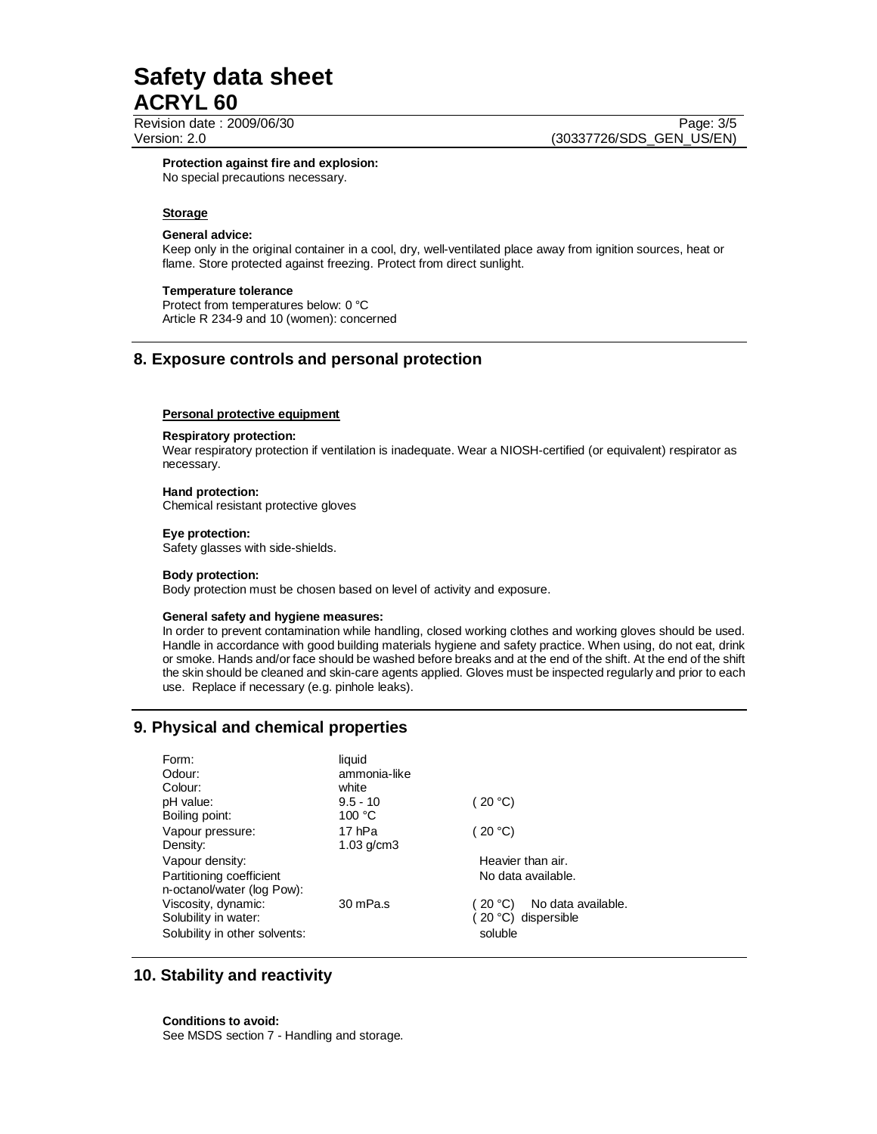Revision date : 2009/06/30 Page: 3/5 Version: 2.0 (30337726/SDS\_GEN\_US/EN)

**Protection against fire and explosion:** No special precautions necessary.

#### **Storage**

## **General advice:**

Keep only in the original container in a cool, dry, well-ventilated place away from ignition sources, heat or flame. Store protected against freezing. Protect from direct sunlight.

#### **Temperature tolerance**

Protect from temperatures below: 0 °C Article R 234-9 and 10 (women): concerned

# **8. Exposure controls and personal protection**

#### **Personal protective equipment**

#### **Respiratory protection:**

Wear respiratory protection if ventilation is inadequate. Wear a NIOSH-certified (or equivalent) respirator as necessary.

### **Hand protection:**

Chemical resistant protective gloves

#### **Eye protection:**

Safety glasses with side-shields.

#### **Body protection:**

Body protection must be chosen based on level of activity and exposure.

#### **General safety and hygiene measures:**

In order to prevent contamination while handling, closed working clothes and working gloves should be used. Handle in accordance with good building materials hygiene and safety practice. When using, do not eat, drink or smoke. Hands and/or face should be washed before breaks and at the end of the shift. At the end of the shift the skin should be cleaned and skin-care agents applied. Gloves must be inspected regularly and prior to each use. Replace if necessary (e.g. pinhole leaks).

## **9. Physical and chemical properties**

| Form:<br>Odour:<br>Colour:                                                   | liquid<br>ammonia-like<br>white |                                                                 |
|------------------------------------------------------------------------------|---------------------------------|-----------------------------------------------------------------|
| pH value:<br>Boiling point:                                                  | $9.5 - 10$<br>100 °C            | (20 °C)                                                         |
| Vapour pressure:<br>Density:                                                 | 17 hPa<br>$1.03$ g/cm $3$       | (20 °C)                                                         |
| Vapour density:<br>Partitioning coefficient<br>n-octanol/water (log Pow):    |                                 | Heavier than air.<br>No data available.                         |
| Viscosity, dynamic:<br>Solubility in water:<br>Solubility in other solvents: | 30 mPa.s                        | No data available.<br>(20 °C)<br>(20 °C) dispersible<br>soluble |

# **10. Stability and reactivity**

**Conditions to avoid:** See MSDS section 7 - Handling and storage.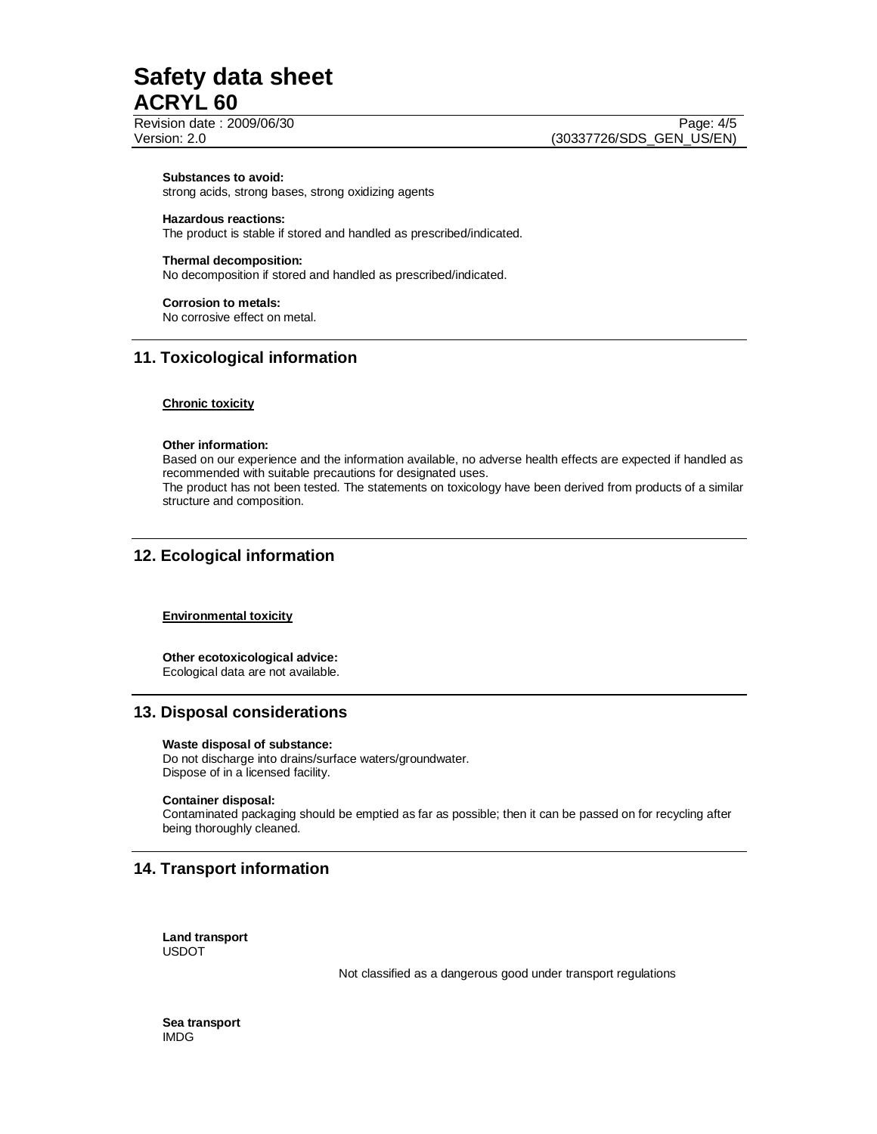#### **Substances to avoid:**

strong acids, strong bases, strong oxidizing agents

## **Hazardous reactions:**

The product is stable if stored and handled as prescribed/indicated.

## **Thermal decomposition:**

No decomposition if stored and handled as prescribed/indicated.

#### **Corrosion to metals:**

No corrosive effect on metal.

# **11. Toxicological information**

#### **Chronic toxicity**

#### **Other information:**

Based on our experience and the information available, no adverse health effects are expected if handled as recommended with suitable precautions for designated uses.

The product has not been tested. The statements on toxicology have been derived from products of a similar structure and composition.

# **12. Ecological information**

## **Environmental toxicity**

**Other ecotoxicological advice:**  Ecological data are not available.

## **13. Disposal considerations**

#### **Waste disposal of substance:**

Do not discharge into drains/surface waters/groundwater. Dispose of in a licensed facility.

#### **Container disposal:**

Contaminated packaging should be emptied as far as possible; then it can be passed on for recycling after being thoroughly cleaned.

# **14. Transport information**

**Land transport**  USDOT

Not classified as a dangerous good under transport regulations

**Sea transport**  IMDG